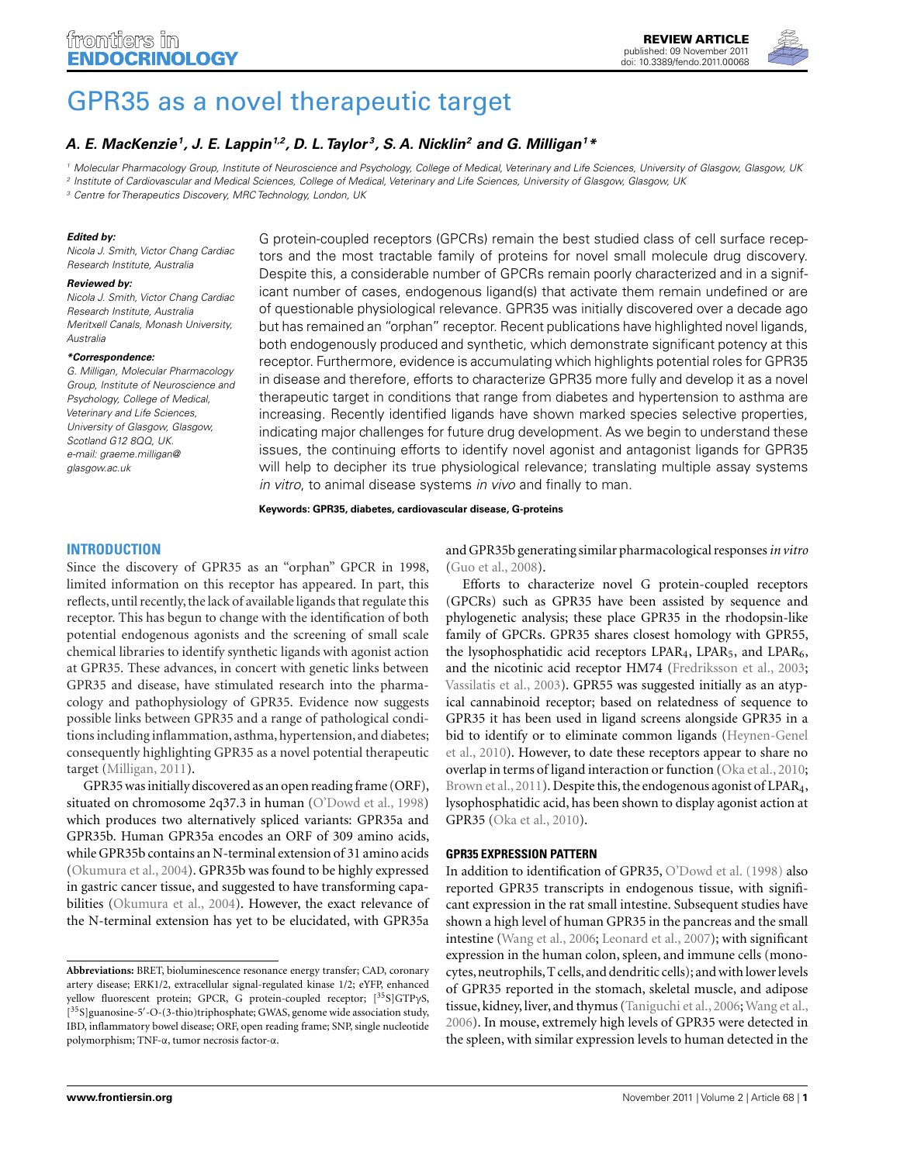# frontiers in **ENDOCRINOLOGY**

**[REVIEW ARTICLE](http://www.frontiersin.org/Endocrinology/editorialboard)** [published: 09 November 2011](http://www.frontiersin.org/Endocrinology/editorialboard) [doi: 10.3389/fendo.2011.00068](http://www.frontiersin.org/Endocrinology/editorialboard)



# [GPR35 as a novel therapeutic target](http://www.frontiersin.org/Molecular_and_Structural_Endocrinology/10.3389/fendo.2011.00068/abstract)

# *A. E. MacKenzie1, [J. E. Lappin1](http://www.frontiersin.org/Community/WhosWhoDetails.aspx?UID=38785&d=1&sname=JenniferLappin&name=Science),2, D. L. Taylor 3, S. A. Nicklin2 and [G. Milligan1](http://www.frontiersin.org/Community/WhosWhoDetails.aspx?UID=38454&d=1&sname=GraemeMilligan&name=Science)\**

<sup>1</sup> Molecular Pharmacology Group, Institute of Neuroscience and Psychology, College of Medical, Veterinary and Life Sciences, University of Glasgow, Glasgow, UK <sup>2</sup> Institute of Cardiovascular and Medical Sciences, College of Medical, Veterinary and Life Sciences, University of Glasgow, Glasgow, UK

<sup>3</sup> Centre for Therapeutics Discovery, MRC Technology, London, UK

#### *Edited by:*

Nicola J. Smith, Victor Chang Cardiac Research Institute, Australia

#### *Reviewed by:*

Nicola J. Smith, Victor Chang Cardiac Research Institute, Australia Meritxell Canals, Monash University, Australia

#### *\*Correspondence:*

G. Milligan, Molecular Pharmacology Group, Institute of Neuroscience and Psychology, College of Medical, Veterinary and Life Sciences, University of Glasgow, Glasgow, Scotland G12 800, UK. e-mail: graeme.milligan@ glasgow.ac.uk

G protein-coupled receptors (GPCRs) remain the best studied class of cell surface receptors and the most tractable family of proteins for novel small molecule drug discovery. Despite this, a considerable number of GPCRs remain poorly characterized and in a significant number of cases, endogenous ligand(s) that activate them remain undefined or are of questionable physiological relevance. GPR35 was initially discovered over a decade ago but has remained an "orphan" receptor. Recent publications have highlighted novel ligands, both endogenously produced and synthetic, which demonstrate significant potency at this receptor. Furthermore, evidence is accumulating which highlights potential roles for GPR35 in disease and therefore, efforts to characterize GPR35 more fully and develop it as a novel therapeutic target in conditions that range from diabetes and hypertension to asthma are increasing. Recently identified ligands have shown marked species selective properties, indicating major challenges for future drug development. As we begin to understand these issues, the continuing efforts to identify novel agonist and antagonist ligands for GPR35 will help to decipher its true physiological relevance; translating multiple assay systems in vitro, to animal disease systems in vivo and finally to man.

**Keywords: GPR35, diabetes, cardiovascular disease, G-proteins**

#### **INTRODUCTION**

Since the discovery of GPR35 as an "orphan" GPCR in 1998, limited information on this receptor has appeared. In part, this reflects, until recently, the lack of available ligands that regulate this receptor. This has begun to change with the identification of both potential endogenous agonists and the screening of small scale chemical libraries to identify synthetic ligands with agonist action at GPR35. These advances, in concert with genetic links between GPR35 and disease, have stimulated research into the pharmacology and pathophysiology of GPR35. Evidence now suggests possible links between GPR35 and a range of pathological conditions including inflammation, asthma, hypertension, and diabetes; consequently highlighting GPR35 as a novel potential therapeutic target [\(Milligan, 2011](#page-8-0)).

GPR35 was initially discovered as an open reading frame (ORF), situated on chromosome 2q37.3 in human [\(O'Dowd et al., 1998](#page-9-0)) which produces two alternatively spliced variants: GPR35a and GPR35b. Human GPR35a encodes an ORF of 309 amino acids, while GPR35b contains an N-terminal extension of 31 amino acids [\(Okumura et al., 2004\)](#page-9-0). GPR35b was found to be highly expressed in gastric cancer tissue, and suggested to have transforming capabilities [\(Okumura et al., 2004](#page-9-0)). However, the exact relevance of the N-terminal extension has yet to be elucidated, with GPR35a and GPR35b generating similar pharmacological responses*in vitro* [\(Guo et al.](#page-8-0), [2008\)](#page-8-0).

Efforts to characterize novel G protein-coupled receptors (GPCRs) such as GPR35 have been assisted by sequence and phylogenetic analysis; these place GPR35 in the rhodopsin-like family of GPCRs. GPR35 shares closest homology with GPR55, the lysophosphatidic acid receptors  $LPAR<sub>4</sub>$ ,  $LPAR<sub>5</sub>$ , and  $LPAR<sub>6</sub>$ , and the nicotinic acid receptor HM74 [\(Fredriksson et al.](#page-8-0), [2003;](#page-8-0) [Vassilatis et al., 2003\)](#page-9-0). GPR55 was suggested initially as an atypical cannabinoid receptor; based on relatedness of sequence to GPR35 it has been used in ligand screens alongside GPR35 in a bid t[o identify or to eliminate common ligands \(](#page-8-0)Heynen-Genel et al., [2010](#page-8-0)). However, to date these receptors appear to share no overlap in terms of ligand interaction or function [\(Oka et al., 2010;](#page-9-0) [Brown et al.](#page-8-0), [2011\)](#page-8-0). Despite this, the endogenous agonist of LPAR<sub>4</sub>, lysophosphatidic acid, has been shown to display agonist action at GPR35 [\(Oka et al., 2010](#page-9-0)).

#### **GPR35 EXPRESSION PATTERN**

In addition to identification of GPR35, [O'Dowd et al.](#page-9-0) [\(1998](#page-9-0)) also reported GPR35 transcripts in endogenous tissue, with significant expression in the rat small intestine. Subsequent studies have shown a high level of human GPR35 in the pancreas and the small intestine [\(Wang et al.](#page-9-0), [2006](#page-9-0); [Leonard et al.](#page-8-0), [2007\)](#page-8-0); with significant expression in the human colon, spleen, and immune cells (monocytes, neutrophils,T cells, and dendritic cells); and with lower levels of GPR35 reported in the stomach, skeletal muscle, and adipose tissue, kidney, liver, and thymus (Taniguchi et al., 2006; Wang et al., [2006\)](#page-9-0). In mouse, extremely high levels of GPR35 were detected in the spleen, with similar expression levels to human detected in the

**Abbreviations:** BRET, bioluminescence resonance energy transfer; CAD, coronary artery disease; ERK1/2, extracellular signal-regulated kinase 1/2; eYFP, enhanced yellow fluorescent protein; GPCR, G protein-coupled receptor; [35S]GTPγS, [<sup>35</sup>S]guanosine-5'-O-(3-thio)triphosphate; GWAS, genome wide association study, IBD, inflammatory bowel disease; ORF, open reading frame; SNP, single nucleotide polymorphism; TNF-α, tumor necrosis factor-α.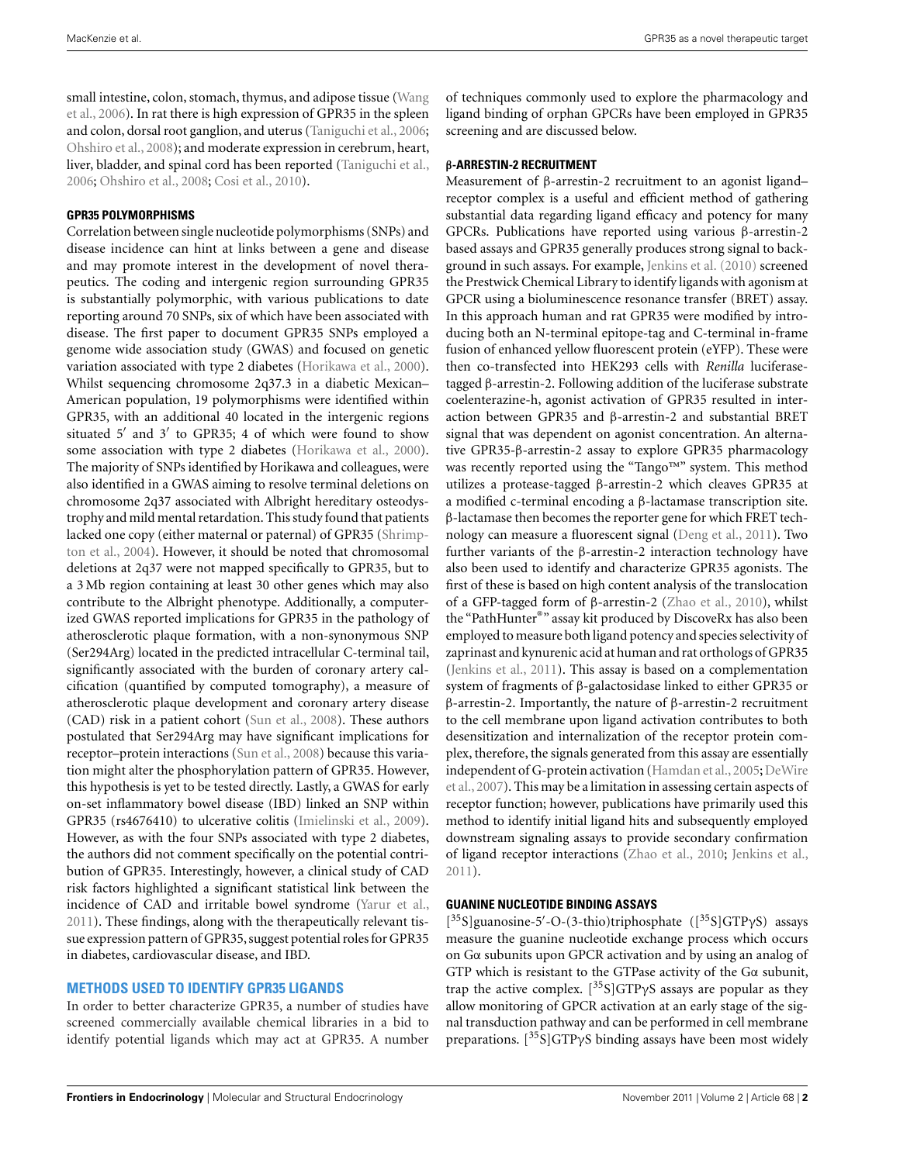sma[ll intestine, colon, stomach, thymus, and adipose tissue \(](#page-9-0)Wang et al., [2006](#page-9-0)). In rat there is high expression of GPR35 in the spleen and colon, dorsal root ganglion, and uterus [\(Taniguchi et al., 2006;](#page-9-0) [Ohshiro et al., 2008\)](#page-9-0); and moderate expression in cerebrum, heart, liver, bladder, and spinal cord has been reported [\(Taniguchi et al.,](#page-9-0) [2006;](#page-9-0) [Ohshiro et al.](#page-9-0), [2008;](#page-9-0) [Cosi et al., 2010](#page-8-0)).

#### **GPR35 POLYMORPHISMS**

Correlation between single nucleotide polymorphisms (SNPs) and disease incidence can hint at links between a gene and disease and may promote interest in the development of novel therapeutics. The coding and intergenic region surrounding GPR35 is substantially polymorphic, with various publications to date reporting around 70 SNPs, six of which have been associated with disease. The first paper to document GPR35 SNPs employed a genome wide association study (GWAS) and focused on genetic variation associated with type 2 diabetes [\(Horikawa et al.](#page-8-0), [2000](#page-8-0)). Whilst sequencing chromosome 2q37.3 in a diabetic Mexican– American population, 19 polymorphisms were identified within GPR35, with an additional 40 located in the intergenic regions situated  $5'$  and  $3'$  to GPR35; 4 of which were found to show some association with type 2 diabetes [\(Horikawa et al.](#page-8-0), [2000](#page-8-0)). The majority of SNPs identified by Horikawa and colleagues, were also identified in a GWAS aiming to resolve terminal deletions on chromosome 2q37 associated with Albright hereditary osteodystrophy and mild mental retardation. This study found that patients lacked o[ne copy \(either maternal or paternal\) of GPR35 \(](#page-9-0)Shrimpton et al., [2004](#page-9-0)). However, it should be noted that chromosomal deletions at 2q37 were not mapped specifically to GPR35, but to a 3 Mb region containing at least 30 other genes which may also contribute to the Albright phenotype. Additionally, a computerized GWAS reported implications for GPR35 in the pathology of atherosclerotic plaque formation, with a non-synonymous SNP (Ser294Arg) located in the predicted intracellular C-terminal tail, significantly associated with the burden of coronary artery calcification (quantified by computed tomography), a measure of atherosclerotic plaque development and coronary artery disease (CAD) risk in a patient cohort [\(Sun et al.](#page-9-0), [2008](#page-9-0)). These authors postulated that Ser294Arg may have significant implications for receptor–protein interactions [\(Sun et al.](#page-9-0), [2008](#page-9-0)) because this variation might alter the phosphorylation pattern of GPR35. However, this hypothesis is yet to be tested directly. Lastly, a GWAS for early on-set inflammatory bowel disease (IBD) linked an SNP within GPR35 (rs4676410) to ulcerative colitis [\(Imielinski et al., 2009](#page-8-0)). However, as with the four SNPs associated with type 2 diabetes, the authors did not comment specifically on the potential contribution of GPR35. Interestingly, however, a clinical study of CAD risk factors highlighted a significant statistical link between the incidence of CAD and irritable bowel syndrome [\(Yarur et al.,](#page-9-0) [2011\)](#page-9-0). These findings, along with the therapeutically relevant tissue expression pattern of GPR35, suggest potential roles for GPR35 in diabetes, cardiovascular disease, and IBD.

## **METHODS USED TO IDENTIFY GPR35 LIGANDS**

In order to better characterize GPR35, a number of studies have screened commercially available chemical libraries in a bid to identify potential ligands which may act at GPR35. A number

of techniques commonly used to explore the pharmacology and ligand binding of orphan GPCRs have been employed in GPR35 screening and are discussed below.

## **β-ARRESTIN-2 RECRUITMENT**

Measurement of β-arrestin-2 recruitment to an agonist ligand– receptor complex is a useful and efficient method of gathering substantial data regarding ligand efficacy and potency for many GPCRs. Publications have reported using various β-arrestin-2 based assays and GPR35 generally produces strong signal to background in such assays. For example, [Jenkins et al.](#page-8-0) [\(2010\)](#page-8-0) screened the Prestwick Chemical Library to identify ligands with agonism at GPCR using a bioluminescence resonance transfer (BRET) assay. In this approach human and rat GPR35 were modified by introducing both an N-terminal epitope-tag and C-terminal in-frame fusion of enhanced yellow fluorescent protein (eYFP). These were then co-transfected into HEK293 cells with *Renilla* luciferasetagged β-arrestin-2. Following addition of the luciferase substrate coelenterazine-h, agonist activation of GPR35 resulted in interaction between GPR35 and β-arrestin-2 and substantial BRET signal that was dependent on agonist concentration. An alternative GPR35-β-arrestin-2 assay to explore GPR35 pharmacology was recently reported using the "Tango™" system. This method utilizes a protease-tagged β-arrestin-2 which cleaves GPR35 at a modified c-terminal encoding a β-lactamase transcription site. β-lactamase then becomes the reporter gene for which FRET technology can measure a fluorescent signal [\(Deng et al., 2011\)](#page-8-0). Two further variants of the β-arrestin-2 interaction technology have also been used to identify and characterize GPR35 agonists. The first of these is based on high content analysis of the translocation of a GFP-tagged form of β-arrestin-2 [\(Zhao et al.](#page-9-0), [2010\)](#page-9-0), whilst the "PathHunter®" assay kit produced by DiscoveRx has also been employed to measure both ligand potency and species selectivity of zaprinast and kynurenic acid at human and rat orthologs of GPR35 [\(Jenkins et al.](#page-8-0), [2011](#page-8-0)). This assay is based on a complementation system of fragments of β-galactosidase linked to either GPR35 or β-arrestin-2. Importantly, the nature of β-arrestin-2 recruitment to the cell membrane upon ligand activation contributes to both desensitization and internalization of the receptor protein complex, therefore, the signals generated from this assay are essentially inde[pendent](#page-8-0) [of](#page-8-0) [G-protein](#page-8-0) [activation](#page-8-0) (Hamdan et al., 2005; DeWire et al., [2007](#page-8-0)). This may be a limitation in assessing certain aspects of receptor function; however, publications have primarily used this method to identify initial ligand hits and subsequently employed downstream signaling assays to provide secondary confirmation of ligand receptor interactions [\(Zhao et al.](#page-9-0), [2010;](#page-9-0) [Jenkins et al.,](#page-8-0) [2011\)](#page-8-0).

## **GUANINE NUCLEOTIDE BINDING ASSAYS**

[<sup>35</sup>S]guanosine-5'-O-(3-thio)triphosphate ([<sup>35</sup>S]GTPγS) assays measure the guanine nucleotide exchange process which occurs on Gα subunits upon GPCR activation and by using an analog of GTP which is resistant to the GTPase activity of the Gα subunit, trap the active complex.  $[35S] GTP\gamma S$  assays are popular as they allow monitoring of GPCR activation at an early stage of the signal transduction pathway and can be performed in cell membrane preparations.  $[35S]GTP\gamma S$  binding assays have been most widely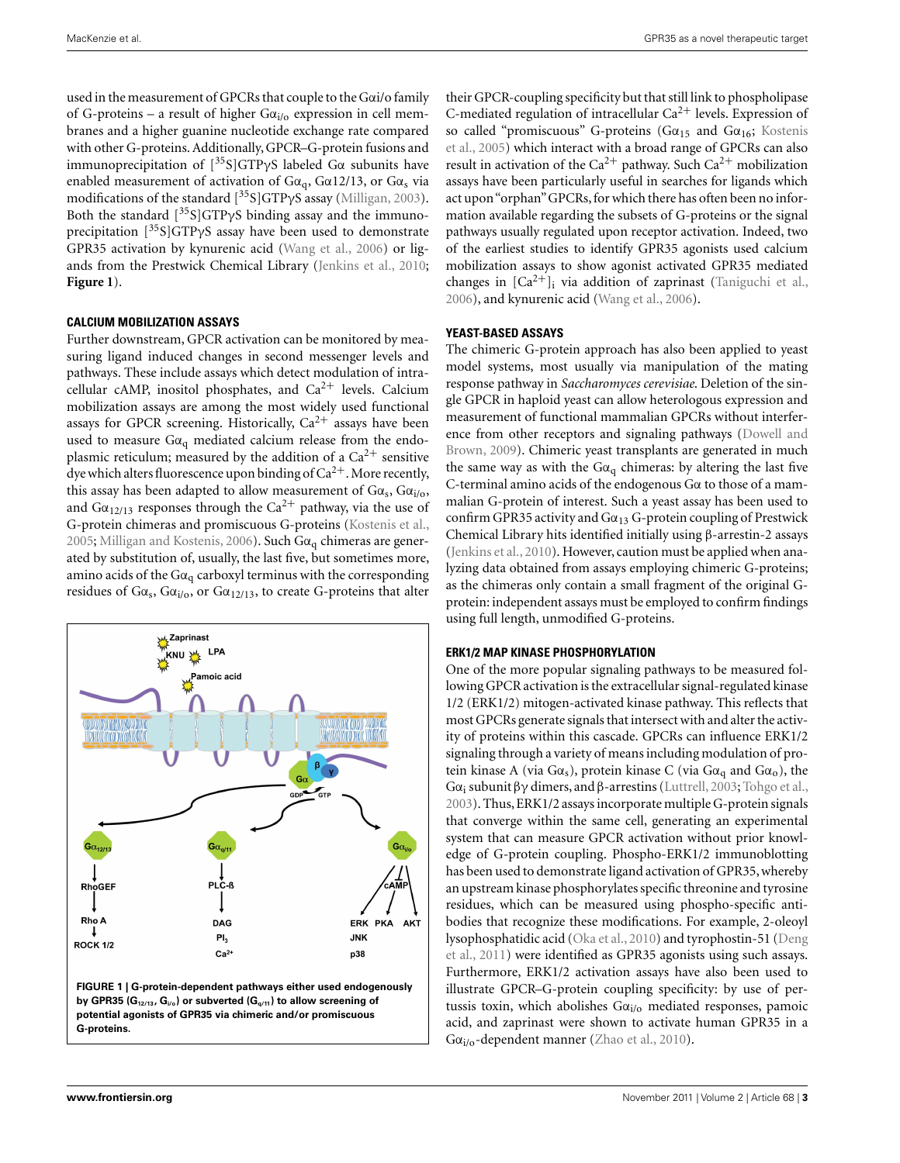used in the measurement of GPCRs that couple to the Gαi/o family of G-proteins – a result of higher  $Ga<sub>i/o</sub>$  expression in cell membranes and a higher guanine nucleotide exchange rate compared with other G-proteins. Additionally, GPCR–G-protein fusions and immunoprecipitation of  $[35S] GTP\gamma S$  labeled G $\alpha$  subunits have enabled measurement of activation of  $Ga_{q}$ ,  $Ga_{12}/13$ , or  $Ga_{s}$  via modifications of the standard [<sup>35</sup>S]GTPγS assay [\(Milligan, 2003](#page-8-0)). Both the standard  $\left[\right]^{35}S\right]GTP\gamma S$  binding assay and the immunoprecipitation  $[35S] GTP\gamma S$  assay have been used to demonstrate GPR35 activation by kynurenic acid [\(Wang et al.](#page-9-0), [2006\)](#page-9-0) or ligands from the Prestwick Chemical Library [\(Jenkins et al.](#page-8-0), [2010;](#page-8-0) **Figure 1**).

## **CALCIUM MOBILIZATION ASSAYS**

Further downstream, GPCR activation can be monitored by measuring ligand induced changes in second messenger levels and pathways. These include assays which detect modulation of intracellular cAMP, inositol phosphates, and  $Ca^{2+}$  levels. Calcium mobilization assays are among the most widely used functional assays for GPCR screening. Historically,  $Ca^{2+}$  assays have been used to measure  $Ga_q$  mediated calcium release from the endoplasmic reticulum; measured by the addition of a  $Ca^{2+}$  sensitive dye which alters fluorescence upon binding of  $Ca^{2+}$ . More recently, this assay has been adapted to allow measurement of  $Ga<sub>s</sub>$ ,  $Ga<sub>i/o</sub>$ , and  $Ga_{12/13}$  responses through the  $Ca^{2+}$  pathway, via the use of G-protein chimeras and promiscuous G-proteins [\(Kostenis et al.,](#page-8-0) [2005;](#page-8-0) [Milligan and Kostenis, 2006\)](#page-8-0). Such  $G\alpha_q$  chimeras are generated by substitution of, usually, the last five, but sometimes more, amino acids of the  $Ga<sub>q</sub>$  carboxyl terminus with the corresponding residues of G $\alpha_s$ , G $\alpha_{i/0}$ , or G $\alpha_{12/13}$ , to create G-proteins that alter



their GPCR-coupling specificity but that still link to phospholipase C-mediated regulation of intracellular  $Ca^{2+}$  levels. Expression of so called "promiscuous" G-proteins ( $G\alpha_{15}$  and  $G\alpha_{16}$ ; Kostenis et al., [2005\)](#page-8-0) which interact with a broad range of GPCRs can also result in activation of the  $Ca^{2+}$  pathway. Such  $Ca^{2+}$  mobilization assays have been particularly useful in searches for ligands which act upon"orphan"GPCRs,for which there has often been no information available regarding the subsets of G-proteins or the signal pathways usually regulated upon receptor activation. Indeed, two of the earliest studies to identify GPR35 agonists used calcium mobilization assays to show agonist activated GPR35 mediated changes in  $[Ca^{2+}]$ ; via addition of zaprinast [\(Taniguchi et al.,](#page-9-0) [2006\)](#page-9-0), and kynurenic acid [\(Wang et al., 2006](#page-9-0)).

#### **YEAST-BASED ASSAYS**

The chimeric G-protein approach has also been applied to yeast model systems, most usually via manipulation of the mating response pathway in *Saccharomyces cerevisiae*. Deletion of the single GPCR in haploid yeast can allow heterologous expression and measurement of functional mammalian GPCRs without interference f[rom other receptors and signaling pathways \(](#page-8-0)Dowell and Brown, [2009\)](#page-8-0). Chimeric yeast transplants are generated in much the same way as with the  $Ga<sub>q</sub>$  chimeras: by altering the last five C-terminal amino acids of the endogenous Gα to those of a mammalian G-protein of interest. Such a yeast assay has been used to confirm GPR35 activity and  $Ga_{13}$  G-protein coupling of Prestwick Chemical Library hits identified initially using β-arrestin-2 assays [\(Jenkins et al., 2010](#page-8-0)). However, caution must be applied when analyzing data obtained from assays employing chimeric G-proteins; as the chimeras only contain a small fragment of the original Gprotein: independent assays must be employed to confirm findings using full length, unmodified G-proteins.

#### **ERK1/2 MAP KINASE PHOSPHORYLATION**

One of the more popular signaling pathways to be measured following GPCR activation is the extracellular signal-regulated kinase 1/2 (ERK1/2) mitogen-activated kinase pathway. This reflects that most GPCRs generate signals that intersect with and alter the activity of proteins within this cascade. GPCRs can influence ERK1/2 signaling through a variety of means including modulation of protein kinase A (via G $\alpha_s$ ), protein kinase C (via G $\alpha_q$  and G $\alpha_o$ ), the Gα<sub>i</sub> subunit βγ dimers, and β-arrestins [\(Luttrell](#page-8-0), [2003;](#page-8-0) [Tohgo et al.,](#page-9-0) [2003\)](#page-9-0). Thus, ERK1/2 assays incorporate multiple G-protein signals that converge within the same cell, generating an experimental system that can measure GPCR activation without prior knowledge of G-protein coupling. Phospho-ERK1/2 immunoblotting has been used to demonstrate ligand activation of GPR35, whereby an upstream kinase phosphorylates specific threonine and tyrosine residues, which can be measured using phospho-specific antibodies that recognize these modifications. For example, 2-oleoyl lyso[phosphatidic acid](#page-8-0) [\(Oka et al., 2010](#page-9-0)[\) and tyrophostin-51 \(](#page-8-0)Deng et al., [2011](#page-8-0)) were identified as GPR35 agonists using such assays. Furthermore, ERK1/2 activation assays have also been used to illustrate GPCR–G-protein coupling specificity: by use of pertussis toxin, which abolishes  $Ga_{i/o}$  mediated responses, pamoic acid, and zaprinast were shown to activate human GPR35 in a  $G\alpha_{i/0}$ -dependent manner [\(Zhao et al., 2010\)](#page-9-0).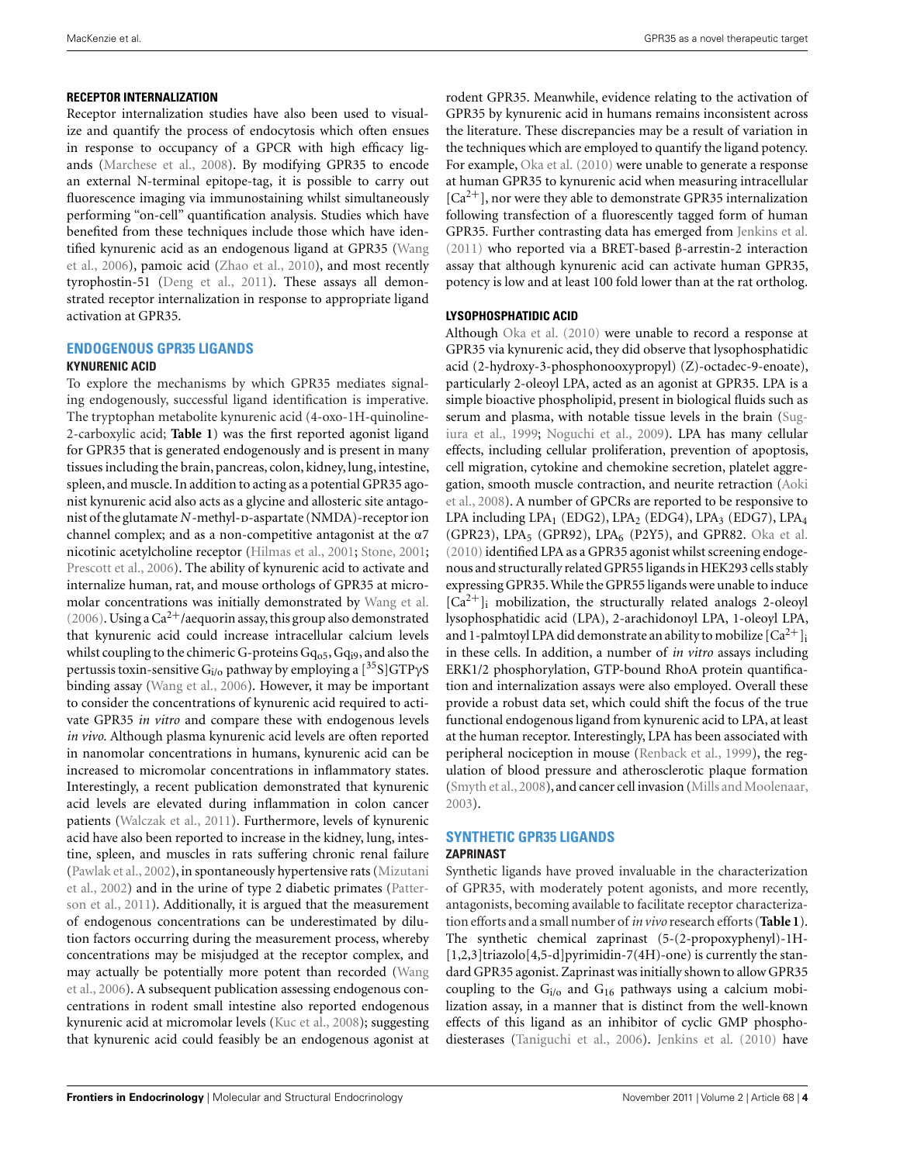## **RECEPTOR INTERNALIZATION**

Receptor internalization studies have also been used to visualize and quantify the process of endocytosis which often ensues in response to occupancy of a GPCR with high efficacy ligands [\(Marchese et al., 2008\)](#page-8-0). By modifying GPR35 to encode an external N-terminal epitope-tag, it is possible to carry out fluorescence imaging via immunostaining whilst simultaneously performing "on-cell" quantification analysis. Studies which have benefited from these techniques include those which have identifie[d kynurenic acid as an endogenous ligand at GPR35 \(](#page-9-0)Wang et al., [2006](#page-9-0)), pamoic acid [\(Zhao et al., 2010](#page-9-0)), and most recently tyrophostin-51 [\(Deng et al.](#page-8-0), [2011](#page-8-0)). These assays all demonstrated receptor internalization in response to appropriate ligand activation at GPR35.

# **ENDOGENOUS GPR35 LIGANDS KYNURENIC ACID**

To explore the mechanisms by which GPR35 mediates signaling endogenously, successful ligand identification is imperative. The tryptophan metabolite kynurenic acid (4-oxo-1H-quinoline-2-carboxylic acid; **[Table 1](#page-4-0)**) was the first reported agonist ligand for GPR35 that is generated endogenously and is present in many tissues including the brain, pancreas, colon, kidney, lung, intestine, spleen, and muscle. In addition to acting as a potential GPR35 agonist kynurenic acid also acts as a glycine and allosteric site antagonist of the glutamate N-methyl-p-aspartate (NMDA)-receptor ion channel complex; and as a non-competitive antagonist at the  $\alpha$ 7 nicotinic acetylcholine receptor [\(Hilmas et al., 2001](#page-8-0); [Stone](#page-9-0), [2001;](#page-9-0) [Prescott et al., 2006](#page-9-0)). The ability of kynurenic acid to activate and internalize human, rat, and mouse orthologs of GPR35 at micromolar concentrations was initially demonstrated by [Wang et al.](#page-9-0) [\(2006](#page-9-0)). Using a  $Ca^{2+}/a$ equorin assay, this group also demonstrated that kynurenic acid could increase intracellular calcium levels whilst coupling to the chimeric G-proteins  $Gq_{0.5}$ ,  $Gq_{19}$ , and also the pertussis toxin-sensitive G<sub>i/o</sub> pathway by employing a  $[^{35}S]GTP\gamma S$ binding assay [\(Wang et al.](#page-9-0), [2006](#page-9-0)). However, it may be important to consider the concentrations of kynurenic acid required to activate GPR35 *in vitro* and compare these with endogenous levels *in vivo*. Although plasma kynurenic acid levels are often reported in nanomolar concentrations in humans, kynurenic acid can be increased to micromolar concentrations in inflammatory states. Interestingly, a recent publication demonstrated that kynurenic acid levels are elevated during inflammation in colon cancer patients [\(Walczak et al.](#page-9-0), [2011](#page-9-0)). Furthermore, levels of kynurenic acid have also been reported to increase in the kidney, lung, intestine, spleen, and muscles in rats suffering chronic renal failure [\(Pawlak et al., 2002\), in spontaneously hypertensive rats \(](#page-9-0)Mizutani et al., [2002\) and in the urine of type 2 diabetic primates \(](#page-9-0)Patterson et al., [2011\)](#page-9-0). Additionally, it is argued that the measurement of endogenous concentrations can be underestimated by dilution factors occurring during the measurement process, whereby concentrations may be misjudged at the receptor complex, and may [actually be potentially more potent than recorded \(](#page-9-0)Wang et al., [2006](#page-9-0)). A subsequent publication assessing endogenous concentrations in rodent small intestine also reported endogenous kynurenic acid at micromolar levels [\(Kuc et al.](#page-8-0), [2008\)](#page-8-0); suggesting that kynurenic acid could feasibly be an endogenous agonist at rodent GPR35. Meanwhile, evidence relating to the activation of GPR35 by kynurenic acid in humans remains inconsistent across the literature. These discrepancies may be a result of variation in the techniques which are employed to quantify the ligand potency. For example, [Oka et al.](#page-9-0) [\(2010\)](#page-9-0) were unable to generate a response at human GPR35 to kynurenic acid when measuring intracellular  $[Ca<sup>2+</sup>]$ , nor were they able to demonstrate GPR35 internalization following transfection of a fluorescently tagged form of human GPR35. Further contrasting data has emerged from [Jenkins et al.](#page-8-0) [\(2011](#page-8-0)) who reported via a BRET-based β-arrestin-2 interaction assay that although kynurenic acid can activate human GPR35, potency is low and at least 100 fold lower than at the rat ortholog.

## **LYSOPHOSPHATIDIC ACID**

Although [Oka et al.](#page-9-0) [\(2010\)](#page-9-0) were unable to record a response at GPR35 via kynurenic acid, they did observe that lysophosphatidic acid (2-hydroxy-3-phosphonooxypropyl) (Z)-octadec-9-enoate), particularly 2-oleoyl LPA, acted as an agonist at GPR35. LPA is a simple bioactive phospholipid, present in biological fluids such as serum an[d plasma, with notable tissue levels in the brain \(](#page-9-0)Sugiura et al., [1999;](#page-9-0) [Noguchi et al., 2009\)](#page-9-0). LPA has many cellular effects, including cellular proliferation, prevention of apoptosis, cell migration, cytokine and chemokine secretion, platelet aggregati[on, smooth muscle contraction, and neurite retraction \(](#page-8-0)Aoki et al., [2008](#page-8-0)). A number of GPCRs are reported to be responsive to LPA including LPA<sub>1</sub> (EDG2), LPA<sub>2</sub> (EDG4), LPA<sub>3</sub> (EDG7), LPA<sub>4</sub> (GPR23), LPA<sub>5</sub> (GPR92), LPA<sub>6</sub> (P2Y5), and GPR82. [Oka et al.](#page-9-0) [\(2010](#page-9-0)) identified LPA as a GPR35 agonist whilst screening endogenous and structurally related GPR55 ligands in HEK293 cells stably expressing GPR35.While the GPR55 ligands were unable to induce  $[Ca^{2+}]$ <sub>i</sub> mobilization, the structurally related analogs 2-oleoyl lysophosphatidic acid (LPA), 2-arachidonoyl LPA, 1-oleoyl LPA, and 1-palmtoyl LPA did demonstrate an ability to mobilize  $[Ca^{2+}]_i$ in these cells. In addition, a number of *in vitro* assays including ERK1/2 phosphorylation, GTP-bound RhoA protein quantification and internalization assays were also employed. Overall these provide a robust data set, which could shift the focus of the true functional endogenous ligand from kynurenic acid to LPA, at least at the human receptor. Interestingly, LPA has been associated with peripheral nociception in mouse [\(Renback et al., 1999\)](#page-9-0), the regulation of blood pressure and atherosclerotic plaque formation (Smyth et al., 2008), and cancer cell invasion (Mills and Moolenaar, [2003\)](#page-9-0).

## **SYNTHETIC GPR35 LIGANDS**

# **ZAPRINAST**

Synthetic ligands have proved invaluable in the characterization of GPR35, with moderately potent agonists, and more recently, antagonists, becoming available to facilitate receptor characterization efforts and a small number of *in vivo* research efforts (**[Table 1](#page-4-0)**). The synthetic chemical zaprinast (5-(2-propoxyphenyl)-1H-  $[1,2,3]$ triazolo $[4,5-d]$ pyrimidin-7(4H)-one) is currently the standard GPR35 agonist. Zaprinast was initially shown to allow GPR35 coupling to the  $G_i$ <sub>l</sub> and  $G_i$ <sub>6</sub> pathways using a calcium mobilization assay, in a manner that is distinct from the well-known effects of this ligand as an inhibitor of cyclic GMP phosphodiesterases [\(Taniguchi et al., 2006](#page-9-0)). [Jenkins et al.](#page-8-0) [\(2010](#page-8-0)) have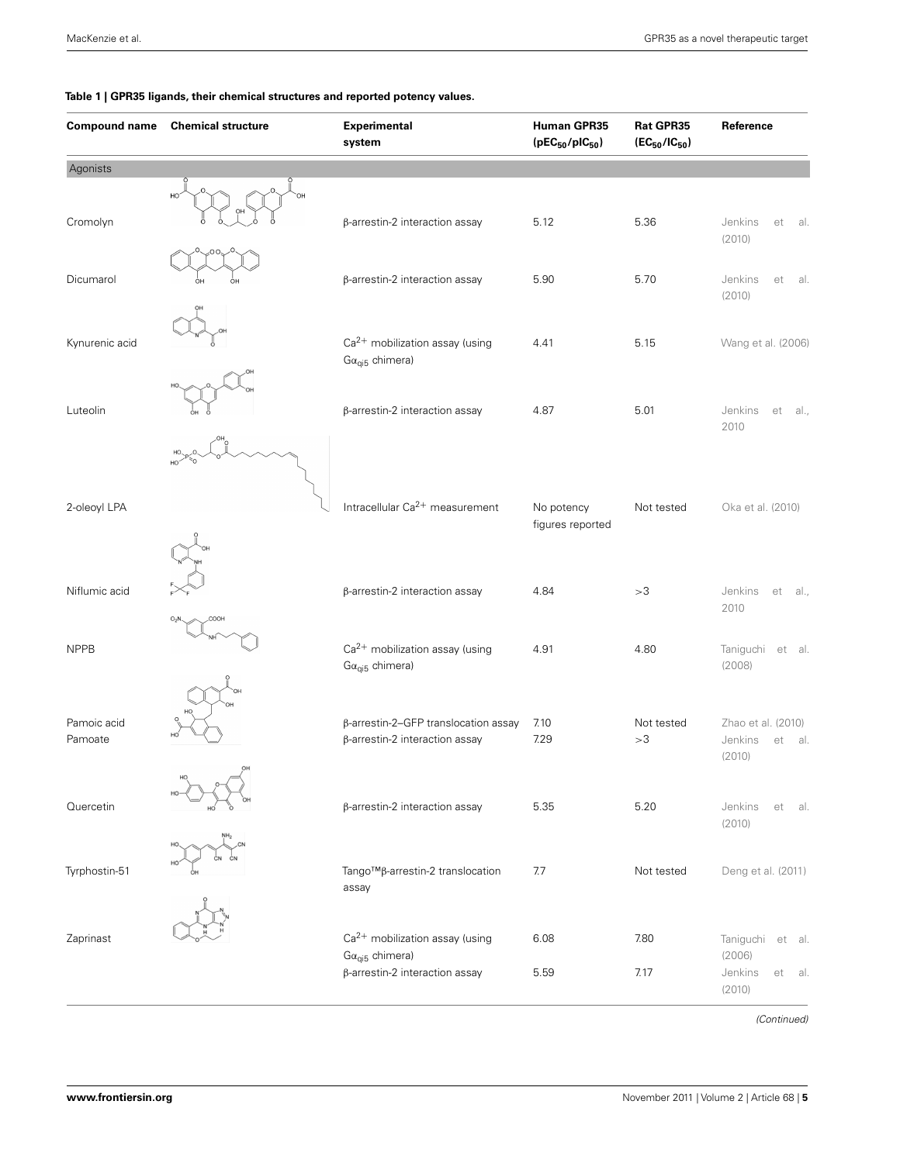# <span id="page-4-0"></span>**Table 1 | GPR35 ligands, their chemical structures and reported potency values.**

|                        | <b>Compound name</b> Chemical structure | <b>Experimental</b><br>system                                                 | Human GPR35<br>$(pEC_{50}/pIC_{50})$ | <b>Rat GPR35</b><br>$(EC_{50}/IC_{50})$ | Reference                                             |
|------------------------|-----------------------------------------|-------------------------------------------------------------------------------|--------------------------------------|-----------------------------------------|-------------------------------------------------------|
| Agonists               |                                         |                                                                               |                                      |                                         |                                                       |
| Cromolyn               |                                         | $\beta$ -arrestin-2 interaction assay                                         | 5.12                                 | 5.36                                    | Jenkins<br>et<br>- al.<br>(2010)                      |
| Dicumarol              |                                         | $\beta$ -arrestin-2 interaction assay                                         | 5.90                                 | 5.70                                    | Jenkins<br>et<br>- al<br>(2010)                       |
| Kynurenic acid         |                                         | $Ca2+$ mobilization assay (using<br>$Ga_{qi5}$ chimera)                       | 4.41                                 | 5.15                                    | Wang et al. (2006)                                    |
| Luteolin               |                                         | $\beta$ -arrestin-2 interaction assay                                         | 4.87                                 | 5.01                                    | Jenkins<br>et<br>al.,<br>2010                         |
| 2-oleoyl LPA           |                                         | Intracellular Ca <sup>2+</sup> measurement                                    | No potency<br>figures reported       | Not tested                              | Oka et al. (2010)                                     |
| Niflumic acid          |                                         | $\beta$ -arrestin-2 interaction assay                                         | 4.84                                 | >3                                      | Jenkins<br>et al.,<br>2010                            |
| <b>NPPB</b>            | COOH                                    | $Ca2+$ mobilization assay (using<br>$Ga_{qi5}$ chimera)                       | 4.91                                 | 4.80                                    | Taniguchi et al.<br>(2008)                            |
| Pamoic acid<br>Pamoate |                                         | β-arrestin-2-GFP translocation assay<br>$\beta$ -arrestin-2 interaction assay | 7.10<br>7.29                         | Not tested<br>>3                        | Zhao et al. (2010)<br>Jenkins<br>-al.<br>et<br>(2010) |
| Quercetin              |                                         | $\beta$ -arrestin-2 interaction assay                                         | 5.35                                 | 5.20                                    | Jenkins<br>et al.<br>(2010)                           |
| Tyrphostin-51          |                                         | Tango™ß-arrestin-2 translocation<br>assay                                     | 7.7                                  | Not tested                              | Deng et al. (2011)                                    |
| Zaprinast              |                                         | $Ca2+$ mobilization assay (using<br>$Ga_{qi5}$ chimera)                       | 6.08                                 | 7.80                                    | Taniguchi<br>et al.<br>(2006)                         |
|                        |                                         | $\beta$ -arrestin-2 interaction assay                                         | 5.59                                 | 7.17                                    | Jenkins<br>et<br>-al.<br>(2010)                       |

(Continued)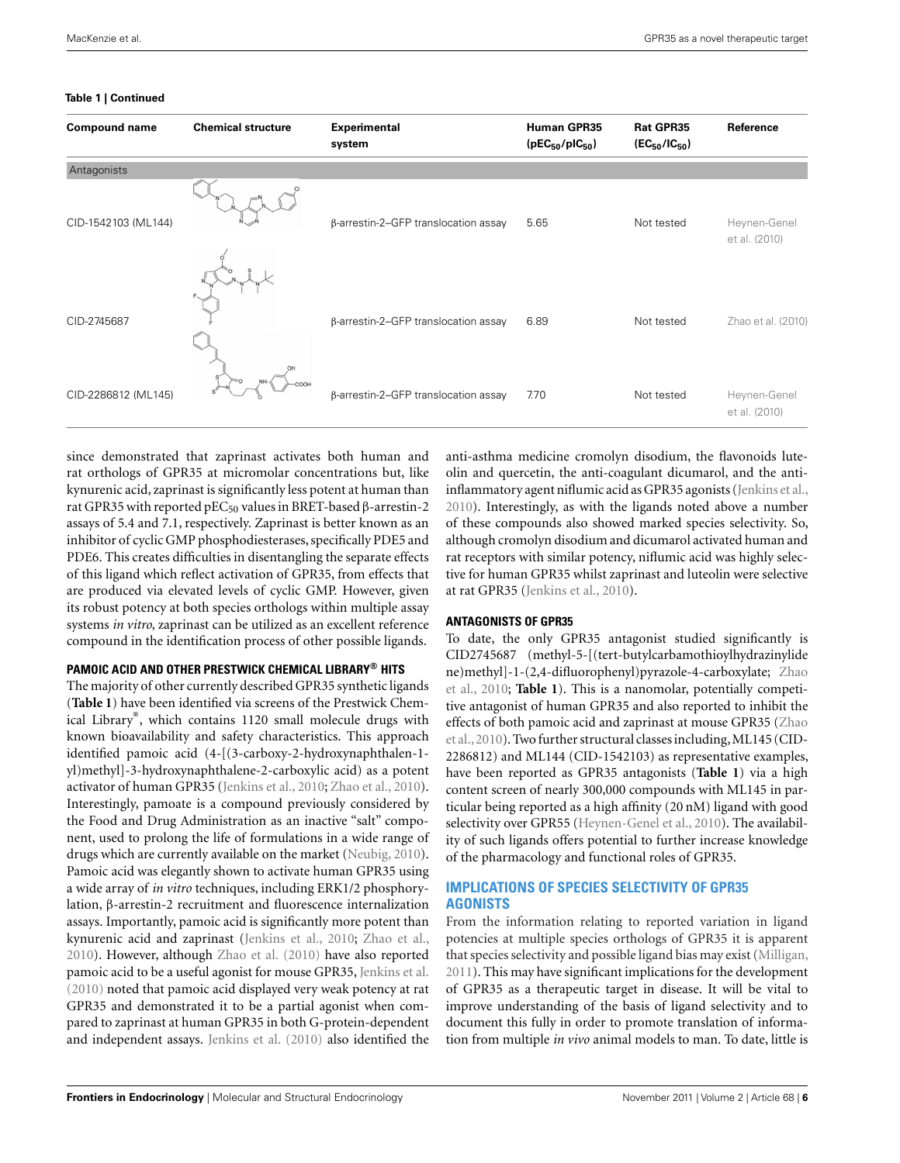#### **Table 1 | Continued**

| <b>Compound name</b> | <b>Chemical structure</b> | <b>Experimental</b><br>system        | <b>Human GPR35</b><br>( $pEC_{50}/pIC_{50}$ ) | <b>Rat GPR35</b><br>$(EC_{50}/IC_{50})$ | Reference                     |
|----------------------|---------------------------|--------------------------------------|-----------------------------------------------|-----------------------------------------|-------------------------------|
| Antagonists          |                           |                                      |                                               |                                         |                               |
| CID-1542103 (ML144)  |                           | β-arrestin-2-GFP translocation assay | 5.65                                          | Not tested                              | Heynen-Genel<br>et al. (2010) |
| CID-2745687          |                           | β-arrestin-2-GFP translocation assay | 6.89                                          | Not tested                              | Zhao et al. (2010)            |
| CID-2286812 (ML145)  |                           | β-arrestin-2-GFP translocation assay | 7.70                                          | Not tested                              | Heynen-Genel<br>et al. (2010) |

since demonstrated that zaprinast activates both human and rat orthologs of GPR35 at micromolar concentrations but, like kynurenic acid, zaprinast is significantly less potent at human than rat GPR35 with reported pEC<sub>50</sub> values in BRET-based β-arrestin-2 assays of 5.4 and 7.1, respectively. Zaprinast is better known as an inhibitor of cyclic GMP phosphodiesterases, specifically PDE5 and PDE6. This creates difficulties in disentangling the separate effects of this ligand which reflect activation of GPR35, from effects that are produced via elevated levels of cyclic GMP. However, given its robust potency at both species orthologs within multiple assay systems *in vitro,* zaprinast can be utilized as an excellent reference compound in the identification process of other possible ligands.

## **PAMOIC ACID AND OTHER PRESTWICK CHEMICAL LIBRARY® HITS**

The majority of other currently described GPR35 synthetic ligands (**[Table 1](#page-4-0)**) have been identified via screens of the Prestwick Chemical Library®, which contains 1120 small molecule drugs with known bioavailability and safety characteristics. This approach identified pamoic acid (4-[(3-carboxy-2-hydroxynaphthalen-1 yl)methyl]-3-hydroxynaphthalene-2-carboxylic acid) as a potent activator of human GPR35 [\(Jenkins et al., 2010;](#page-8-0) [Zhao et al.](#page-9-0), [2010](#page-9-0)). Interestingly, pamoate is a compound previously considered by the Food and Drug Administration as an inactive "salt" component, used to prolong the life of formulations in a wide range of drugs which are currently available on the market [\(Neubig](#page-9-0), [2010](#page-9-0)). Pamoic acid was elegantly shown to activate human GPR35 using a wide array of *in vitro* techniques, including ERK1/2 phosphorylation, β-arrestin-2 recruitment and fluorescence internalization assays. Importantly, pamoic acid is significantly more potent than kynurenic acid and zaprinast [\(Jenkins et al.](#page-8-0), [2010](#page-8-0); [Zhao et al.,](#page-9-0) [2010\)](#page-9-0). However, although [Zhao et al.](#page-9-0) [\(2010](#page-9-0)) have also reported pamoic acid to be a useful agonist for mouse GPR35, [Jenkins et al.](#page-8-0) [\(2010](#page-8-0)) noted that pamoic acid displayed very weak potency at rat GPR35 and demonstrated it to be a partial agonist when compared to zaprinast at human GPR35 in both G-protein-dependent and independent assays. [Jenkins et al.](#page-8-0) [\(2010](#page-8-0)) also identified the

anti-asthma medicine cromolyn disodium, the flavonoids luteolin and quercetin, the anti-coagulant dicumarol, and the antiinflammatory agent niflumic acid as GPR35 agonists [\(Jenkins et al.,](#page-8-0) [2010\)](#page-8-0). Interestingly, as with the ligands noted above a number of these compounds also showed marked species selectivity. So, although cromolyn disodium and dicumarol activated human and rat receptors with similar potency, niflumic acid was highly selective for human GPR35 whilst zaprinast and luteolin were selective at rat GPR35 [\(Jenkins et al., 2010](#page-8-0)).

# **ANTAGONISTS OF GPR35**

To date, the only GPR35 antagonist studied significantly is CID2745687 (methyl-5-[(tert-butylcarbamothioylhydrazinylide ne)[methyl\]-1-\(2,4-difluorophenyl\)pyrazole-4-carboxylate;](#page-9-0) Zhao et al., [2010;](#page-9-0) **[Table 1](#page-4-0)**). This is a nanomolar, potentially competitive antagonist of human GPR35 and also reported to inhibit the effe[cts of both pamoic acid and zaprinast at mouse GPR35 \(](#page-9-0)Zhao et al., [2010\)](#page-9-0). Two further structural classes including, ML145 (CID-2286812) and ML144 (CID-1542103) as representative examples, have been reported as GPR35 antagonists (**[Table 1](#page-4-0)**) via a high content screen of nearly 300,000 compounds with ML145 in particular being reported as a high affinity (20 nM) ligand with good selectivity over GPR55 [\(Heynen-Genel et al.](#page-8-0), [2010\)](#page-8-0). The availability of such ligands offers potential to further increase knowledge of the pharmacology and functional roles of GPR35.

# **IMPLICATIONS OF SPECIES SELECTIVITY OF GPR35 AGONISTS**

From the information relating to reported variation in ligand potencies at multiple species orthologs of GPR35 it is apparent that species selectivity and possible ligand bias may exist [\(Milligan,](#page-8-0) [2011\)](#page-8-0). This may have significant implications for the development of GPR35 as a therapeutic target in disease. It will be vital to improve understanding of the basis of ligand selectivity and to document this fully in order to promote translation of information from multiple *in vivo* animal models to man. To date, little is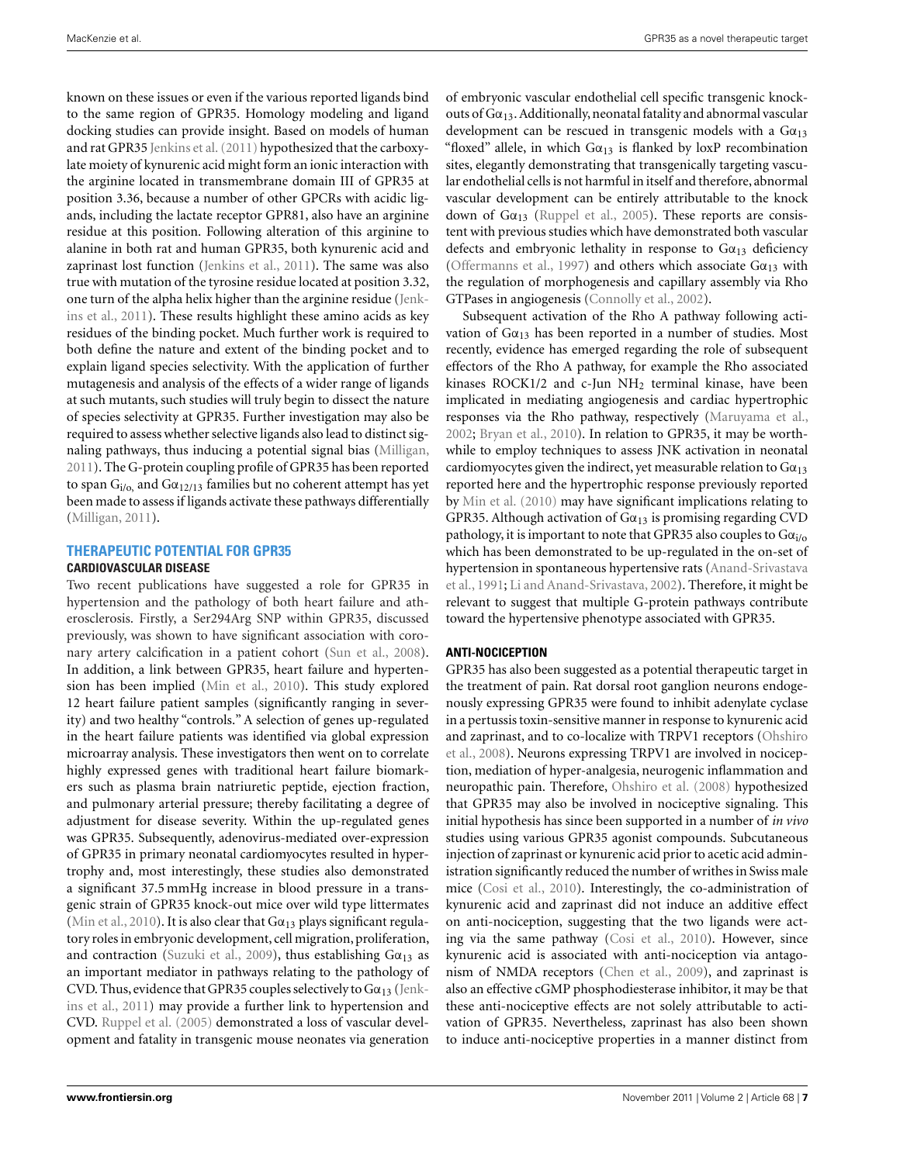known on these issues or even if the various reported ligands bind to the same region of GPR35. Homology modeling and ligand docking studies can provide insight. Based on models of human and rat GPR35 [Jenkins et al.](#page-8-0) [\(2011\)](#page-8-0) hypothesized that the carboxylate moiety of kynurenic acid might form an ionic interaction with the arginine located in transmembrane domain III of GPR35 at position 3.36, because a number of other GPCRs with acidic ligands, including the lactate receptor GPR81, also have an arginine residue at this position. Following alteration of this arginine to alanine in both rat and human GPR35, both kynurenic acid and zaprinast lost function [\(Jenkins et al.](#page-8-0), [2011](#page-8-0)). The same was also true with mutation of the tyrosine residue located at position 3.32, one tur[n of the alpha helix higher than the arginine residue \(](#page-8-0)Jenkins et al., [2011](#page-8-0)). These results highlight these amino acids as key residues of the binding pocket. Much further work is required to both define the nature and extent of the binding pocket and to explain ligand species selectivity. With the application of further mutagenesis and analysis of the effects of a wider range of ligands at such mutants, such studies will truly begin to dissect the nature of species selectivity at GPR35. Further investigation may also be required to assess whether selective ligands also lead to distinct signaling pathways, thus inducing a potential signal bias [\(Milligan,](#page-8-0) [2011\)](#page-8-0). The G-protein coupling profile of GPR35 has been reported to span  $G_{i/o}$ , and  $G\alpha_{12/13}$  families but no coherent attempt has yet been made to assess if ligands activate these pathways differentially [\(Milligan, 2011](#page-8-0)).

## **THERAPEUTIC POTENTIAL FOR GPR35**

#### **CARDIOVASCULAR DISEASE**

Two recent publications have suggested a role for GPR35 in hypertension and the pathology of both heart failure and atherosclerosis. Firstly, a Ser294Arg SNP within GPR35, discussed previously, was shown to have significant association with coronary artery calcification in a patient cohort [\(Sun et al.](#page-9-0), [2008](#page-9-0)). In addition, a link between GPR35, heart failure and hypertension has been implied [\(Min et al.](#page-9-0), [2010](#page-9-0)). This study explored 12 heart failure patient samples (significantly ranging in severity) and two healthy "controls." A selection of genes up-regulated in the heart failure patients was identified via global expression microarray analysis. These investigators then went on to correlate highly expressed genes with traditional heart failure biomarkers such as plasma brain natriuretic peptide, ejection fraction, and pulmonary arterial pressure; thereby facilitating a degree of adjustment for disease severity. Within the up-regulated genes was GPR35. Subsequently, adenovirus-mediated over-expression of GPR35 in primary neonatal cardiomyocytes resulted in hypertrophy and, most interestingly, these studies also demonstrated a significant 37.5 mmHg increase in blood pressure in a transgenic strain of GPR35 knock-out mice over wild type littermates [\(Min et al.](#page-9-0), [2010](#page-9-0)). It is also clear that  $Ga_{13}$  plays significant regulatory roles in embryonic development, cell migration, proliferation, and contraction [\(Suzuki et al., 2009](#page-9-0)), thus establishing  $Ga_{13}$  as an important mediator in pathways relating to the pathology of CVD. T[hus,](#page-8-0) [evidence](#page-8-0) [that](#page-8-0) [GPR35](#page-8-0) [couples](#page-8-0) [selectively](#page-8-0) [to](#page-8-0)  $Ga_{13}$  $Ga_{13}$  (Jenkins et al., [2011](#page-8-0)) may provide a further link to hypertension and CVD. [Ruppel et al.](#page-9-0) [\(2005](#page-9-0)) demonstrated a loss of vascular development and fatality in transgenic mouse neonates via generation

of embryonic vascular endothelial cell specific transgenic knockouts of  $Ga_{13}$ . Additionally, neonatal fatality and abnormal vascular development can be rescued in transgenic models with a  $Ga_{13}$ "floxed" allele, in which  $Ga_{13}$  is flanked by loxP recombination sites, elegantly demonstrating that transgenically targeting vascular endothelial cells is not harmful in itself and therefore, abnormal vascular development can be entirely attributable to the knock down of  $G\alpha_{13}$  [\(Ruppel et al., 2005\)](#page-9-0). These reports are consistent with previous studies which have demonstrated both vascular defects and embryonic lethality in response to  $Ga_{13}$  deficiency [\(Offermanns et al.](#page-9-0), [1997\)](#page-9-0) and others which associate  $Ga_{13}$  with the regulation of morphogenesis and capillary assembly via Rho GTPases in angiogenesis [\(Connolly et al.](#page-8-0), [2002\)](#page-8-0).

Subsequent activation of the Rho A pathway following activation of  $Ga_{13}$  has been reported in a number of studies. Most recently, evidence has emerged regarding the role of subsequent effectors of the Rho A pathway, for example the Rho associated kinases ROCK1/2 and c-Jun  $NH<sub>2</sub>$  terminal kinase, have been implicated in mediating angiogenesis and cardiac hypertrophic responses via the Rho pathway, respectively [\(Maruyama et al.,](#page-8-0) [2002;](#page-8-0) [Bryan et al., 2010\)](#page-8-0). In relation to GPR35, it may be worthwhile to employ techniques to assess JNK activation in neonatal cardiomyocytes given the indirect, yet measurable relation to  $Ga_{13}$ reported here and the hypertrophic response previously reported by [Min et al.](#page-9-0) [\(2010\)](#page-9-0) may have significant implications relating to GPR35. Although activation of  $Ga_{13}$  is promising regarding CVD pathology, it is important to note that GPR35 also couples to  $Ga<sub>i/o</sub>$ which has been demonstrated to be up-regulated in the on-set of hyp[ertension in spontaneous hypertensive rats \(](#page-8-0)Anand-Srivastava et al., [1991;](#page-8-0) [Li and Anand-Srivastava, 2002\)](#page-8-0). Therefore, it might be relevant to suggest that multiple G-protein pathways contribute toward the hypertensive phenotype associated with GPR35.

## **ANTI-NOCICEPTION**

GPR35 has also been suggested as a potential therapeutic target in the treatment of pain. Rat dorsal root ganglion neurons endogenously expressing GPR35 were found to inhibit adenylate cyclase in a pertussis toxin-sensitive manner in response to kynurenic acid and [zaprinast,](#page-9-0) [and](#page-9-0) [to](#page-9-0) [co-localize](#page-9-0) [with](#page-9-0) [TRPV1](#page-9-0) [receptors](#page-9-0) [\(](#page-9-0)Ohshiro et al., [2008\)](#page-9-0). Neurons expressing TRPV1 are involved in nociception, mediation of hyper-analgesia, neurogenic inflammation and neuropathic pain. Therefore, [Ohshiro et al.](#page-9-0) [\(2008\)](#page-9-0) hypothesized that GPR35 may also be involved in nociceptive signaling. This initial hypothesis has since been supported in a number of *in vivo* studies using various GPR35 agonist compounds. Subcutaneous injection of zaprinast or kynurenic acid prior to acetic acid administration significantly reduced the number of writhes in Swiss male mice [\(Cosi et al.](#page-8-0), [2010](#page-8-0)). Interestingly, the co-administration of kynurenic acid and zaprinast did not induce an additive effect on anti-nociception, suggesting that the two ligands were acting via the same pathway [\(Cosi et al.](#page-8-0), [2010](#page-8-0)). However, since kynurenic acid is associated with anti-nociception via antagonism of NMDA receptors [\(Chen et al., 2009](#page-8-0)), and zaprinast is also an effective cGMP phosphodiesterase inhibitor, it may be that these anti-nociceptive effects are not solely attributable to activation of GPR35. Nevertheless, zaprinast has also been shown to induce anti-nociceptive properties in a manner distinct from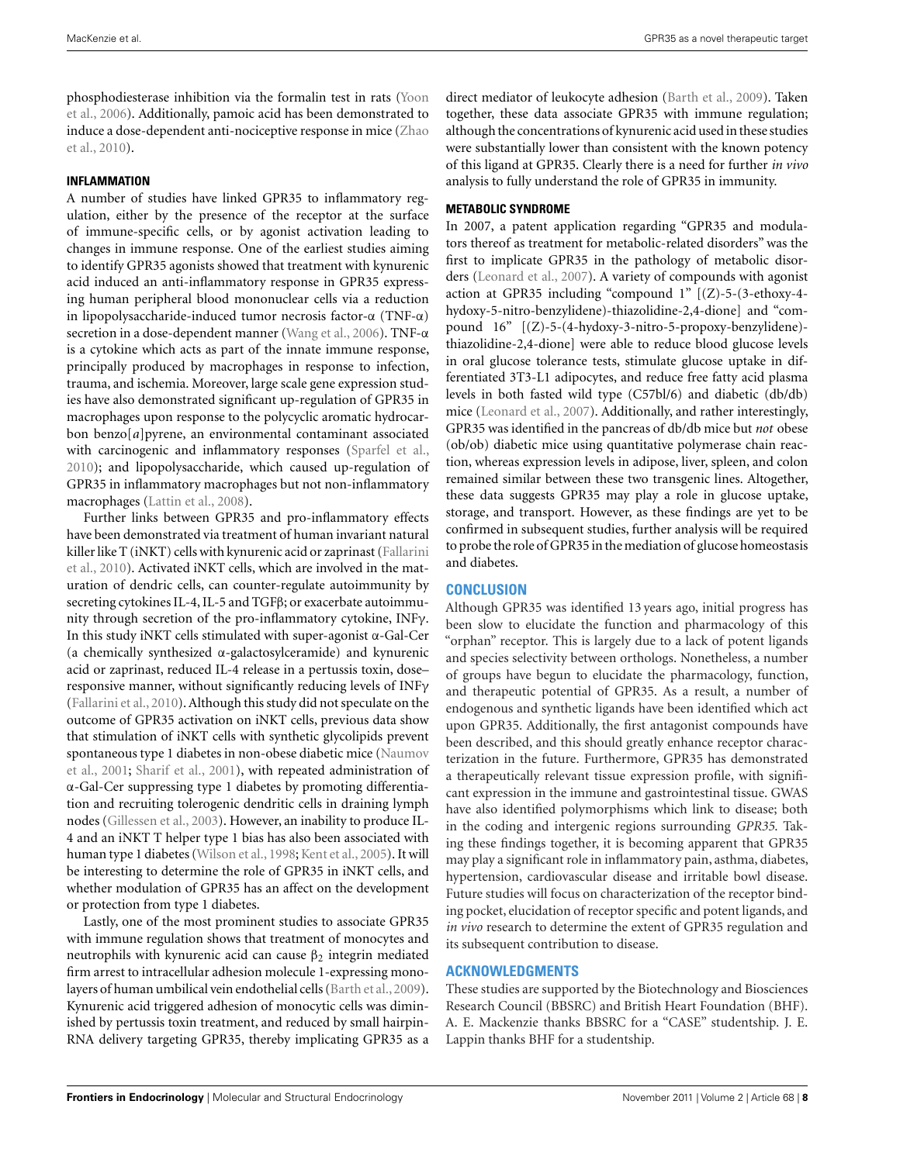phos[phodiesterase inhibition via the formalin test in rats \(](#page-9-0)Yoon et al., [2006](#page-9-0)). Additionally, pamoic acid has been demonstrated to ind[uce a dose-dependent anti-nociceptive response in mice \(](#page-9-0)Zhao et al., [2010\)](#page-9-0).

## **INFLAMMATION**

A number of studies have linked GPR35 to inflammatory regulation, either by the presence of the receptor at the surface of immune-specific cells, or by agonist activation leading to changes in immune response. One of the earliest studies aiming to identify GPR35 agonists showed that treatment with kynurenic acid induced an anti-inflammatory response in GPR35 expressing human peripheral blood mononuclear cells via a reduction in lipopolysaccharide-induced tumor necrosis factor- $\alpha$  (TNF- $\alpha$ ) secretion in a dose-dependent manner [\(Wang et al., 2006](#page-9-0)). TNF-α is a cytokine which acts as part of the innate immune response, principally produced by macrophages in response to infection, trauma, and ischemia. Moreover, large scale gene expression studies have also demonstrated significant up-regulation of GPR35 in macrophages upon response to the polycyclic aromatic hydrocarbon benzo[*a*]pyrene, an environmental contaminant associated with carcinogenic and inflammatory responses [\(Sparfel et al.,](#page-9-0) [2010\)](#page-9-0); and lipopolysaccharide, which caused up-regulation of GPR35 in inflammatory macrophages but not non-inflammatory macrophages [\(Lattin et al., 2008](#page-8-0)).

Further links between GPR35 and pro-inflammatory effects have been demonstrated via treatment of human invariant natural kille[r](#page-8-0) [like](#page-8-0) [T](#page-8-0) [\(iNKT\)](#page-8-0) [cells](#page-8-0) [with](#page-8-0) [kynurenic](#page-8-0) [acid](#page-8-0) [or](#page-8-0) [zaprinast](#page-8-0) [\(](#page-8-0)Fallarini et al., [2010\)](#page-8-0). Activated iNKT cells, which are involved in the maturation of dendric cells, can counter-regulate autoimmunity by secreting cytokines IL-4, IL-5 and TGFβ; or exacerbate autoimmunity through secretion of the pro-inflammatory cytokine, INFγ. In this study iNKT cells stimulated with super-agonist α-Gal-Cer (a chemically synthesized α-galactosylceramide) and kynurenic acid or zaprinast, reduced IL-4 release in a pertussis toxin, dose– responsive manner, without significantly reducing levels of INFγ [\(Fallarini et al.](#page-8-0), [2010](#page-8-0)). Although this study did not speculate on the outcome of GPR35 activation on iNKT cells, previous data show that stimulation of iNKT cells with synthetic glycolipids prevent spon[taneous type 1 diabetes in non-obese diabetic mice \(](#page-9-0)Naumov et al., [2001](#page-9-0); [Sharif et al.](#page-9-0), [2001](#page-9-0)), with repeated administration of α-Gal-Cer suppressing type 1 diabetes by promoting differentiation and recruiting tolerogenic dendritic cells in draining lymph nodes [\(Gillessen et al.](#page-8-0), [2003](#page-8-0)). However, an inability to produce IL-4 and an iNKT T helper type 1 bias has also been associated with human type 1 diabetes [\(Wilson et al.](#page-9-0), [1998](#page-9-0); [Kent et al.](#page-8-0), [2005](#page-8-0)). It will be interesting to determine the role of GPR35 in iNKT cells, and whether modulation of GPR35 has an affect on the development or protection from type 1 diabetes.

Lastly, one of the most prominent studies to associate GPR35 with immune regulation shows that treatment of monocytes and neutrophils with kynurenic acid can cause  $β_2$  integrin mediated firm arrest to intracellular adhesion molecule 1-expressing monolayers of human umbilical vein endothelial cells [\(Barth et al.,2009](#page-8-0)). Kynurenic acid triggered adhesion of monocytic cells was diminished by pertussis toxin treatment, and reduced by small hairpin-RNA delivery targeting GPR35, thereby implicating GPR35 as a

direct mediator of leukocyte adhesion [\(Barth et al.](#page-8-0), [2009](#page-8-0)). Taken together, these data associate GPR35 with immune regulation; although the concentrations of kynurenic acid used in these studies were substantially lower than consistent with the known potency of this ligand at GPR35. Clearly there is a need for further *in vivo* analysis to fully understand the role of GPR35 in immunity.

## **METABOLIC SYNDROME**

In 2007, a patent application regarding "GPR35 and modulators thereof as treatment for metabolic-related disorders" was the first to implicate GPR35 in the pathology of metabolic disorders [\(Leonard et al.](#page-8-0), [2007\)](#page-8-0). A variety of compounds with agonist action at GPR35 including "compound  $1$ "  $[(Z)-5-(3-ethoxy-4$ hydoxy-5-nitro-benzylidene)-thiazolidine-2,4-dione] and "compound 16" [(Z)-5-(4-hydoxy-3-nitro-5-propoxy-benzylidene) thiazolidine-2,4-dione] were able to reduce blood glucose levels in oral glucose tolerance tests, stimulate glucose uptake in differentiated 3T3-L1 adipocytes, and reduce free fatty acid plasma levels in both fasted wild type (C57bl/6) and diabetic (db/db) mice [\(Leonard et al., 2007](#page-8-0)). Additionally, and rather interestingly, GPR35 was identified in the pancreas of db/db mice but *not* obese (ob/ob) diabetic mice using quantitative polymerase chain reaction, whereas expression levels in adipose, liver, spleen, and colon remained similar between these two transgenic lines. Altogether, these data suggests GPR35 may play a role in glucose uptake, storage, and transport. However, as these findings are yet to be confirmed in subsequent studies, further analysis will be required to probe the role of GPR35 in the mediation of glucose homeostasis and diabetes.

# **CONCLUSION**

Although GPR35 was identified 13 years ago, initial progress has been slow to elucidate the function and pharmacology of this "orphan" receptor. This is largely due to a lack of potent ligands and species selectivity between orthologs. Nonetheless, a number of groups have begun to elucidate the pharmacology, function, and therapeutic potential of GPR35. As a result, a number of endogenous and synthetic ligands have been identified which act upon GPR35. Additionally, the first antagonist compounds have been described, and this should greatly enhance receptor characterization in the future. Furthermore, GPR35 has demonstrated a therapeutically relevant tissue expression profile, with significant expression in the immune and gastrointestinal tissue. GWAS have also identified polymorphisms which link to disease; both in the coding and intergenic regions surrounding *GPR35*. Taking these findings together, it is becoming apparent that GPR35 may play a significant role in inflammatory pain, asthma, diabetes, hypertension, cardiovascular disease and irritable bowl disease. Future studies will focus on characterization of the receptor binding pocket, elucidation of receptor specific and potent ligands, and *in vivo* research to determine the extent of GPR35 regulation and its subsequent contribution to disease.

## **ACKNOWLEDGMENTS**

These studies are supported by the Biotechnology and Biosciences Research Council (BBSRC) and British Heart Foundation (BHF). A. E. Mackenzie thanks BBSRC for a "CASE" studentship. J. E. Lappin thanks BHF for a studentship.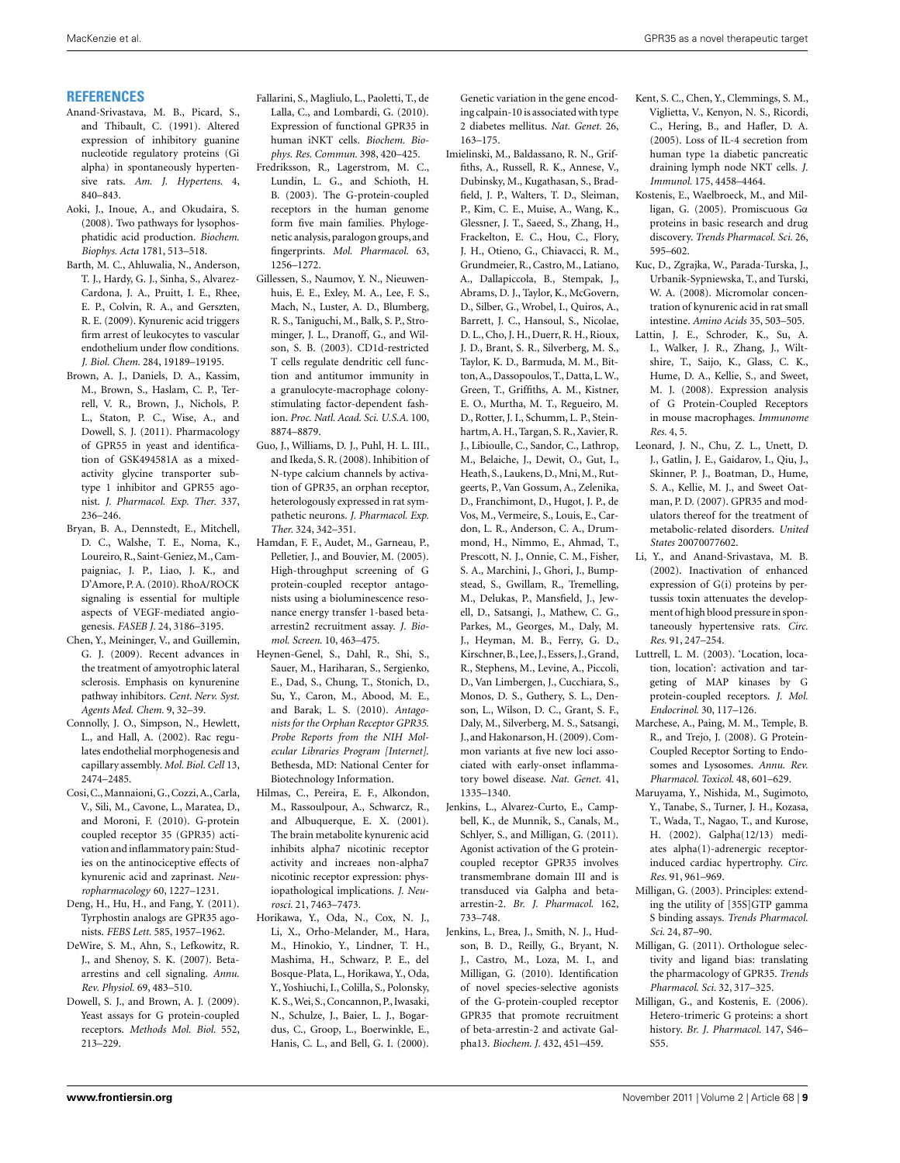#### <span id="page-8-0"></span>**REFERENCES**

- Anand-Srivastava, M. B., Picard, S., and Thibault, C. (1991). Altered expression of inhibitory guanine nucleotide regulatory proteins (Gi alpha) in spontaneously hypertensive rats. *Am. J. Hypertens.* 4, 840–843.
- Aoki, J., Inoue, A., and Okudaira, S. (2008). Two pathways for lysophosphatidic acid production. *Biochem. Biophys. Acta* 1781, 513–518.
- Barth, M. C., Ahluwalia, N., Anderson, T. J., Hardy, G. J., Sinha, S., Alvarez-Cardona, J. A., Pruitt, I. E., Rhee, E. P., Colvin, R. A., and Gerszten, R. E. (2009). Kynurenic acid triggers firm arrest of leukocytes to vascular endothelium under flow conditions. *J. Biol. Chem.* 284, 19189–19195.
- Brown, A. J., Daniels, D. A., Kassim, M., Brown, S., Haslam, C. P., Terrell, V. R., Brown, J., Nichols, P. L., Staton, P. C., Wise, A., and Dowell, S. J. (2011). Pharmacology of GPR55 in yeast and identification of GSK494581A as a mixedactivity glycine transporter subtype 1 inhibitor and GPR55 agonist. *J. Pharmacol. Exp. Ther.* 337, 236–246.
- Bryan, B. A., Dennstedt, E., Mitchell, D. C., Walshe, T. E., Noma, K., Loureiro, R., Saint-Geniez,M., Campaigniac, J. P., Liao, J. K., and D'Amore, P. A. (2010). RhoA/ROCK signaling is essential for multiple aspects of VEGF-mediated angiogenesis. *FASEB J.* 24, 3186–3195.
- Chen, Y., Meininger, V., and Guillemin, G. J. (2009). Recent advances in the treatment of amyotrophic lateral sclerosis. Emphasis on kynurenine pathway inhibitors. *Cent. Nerv. Syst. Agents Med. Chem.* 9, 32–39.
- Connolly, J. O., Simpson, N., Hewlett, L., and Hall, A. (2002). Rac regulates endothelial morphogenesis and capillary assembly. *Mol. Biol. Cell* 13, 2474–2485.
- Cosi,C.,Mannaioni, G.,Cozzi,A.,Carla, V., Sili, M., Cavone, L., Maratea, D., and Moroni, F. (2010). G-protein coupled receptor 35 (GPR35) activation and inflammatory pain: Studies on the antinociceptive effects of kynurenic acid and zaprinast. *Neuropharmacology* 60, 1227–1231.
- Deng, H., Hu, H., and Fang, Y. (2011). Tyrphostin analogs are GPR35 agonists. *FEBS Lett.* 585, 1957–1962.
- DeWire, S. M., Ahn, S., Lefkowitz, R. J., and Shenoy, S. K. (2007). Betaarrestins and cell signaling. *Annu. Rev. Physiol.* 69, 483–510.
- Dowell, S. J., and Brown, A. J. (2009). Yeast assays for G protein-coupled receptors. *Methods Mol. Biol.* 552, 213–229.
- Fallarini, S., Magliulo, L., Paoletti, T., de Lalla, C., and Lombardi, G. (2010). Expression of functional GPR35 in human iNKT cells. *Biochem. Biophys. Res. Commun.* 398, 420–425.
- Fredriksson, R., Lagerstrom, M. C., Lundin, L. G., and Schioth, H. B. (2003). The G-protein-coupled receptors in the human genome form five main families. Phylogenetic analysis, paralogon groups, and fingerprints*. Mol. Pharmacol.* 63, 1256–1272.
- Gillessen, S., Naumov, Y. N., Nieuwenhuis, E. E., Exley, M. A., Lee, F. S., Mach, N., Luster, A. D., Blumberg, R. S., Taniguchi, M., Balk, S. P., Strominger, J. L., Dranoff, G., and Wilson, S. B. (2003). CD1d-restricted T cells regulate dendritic cell function and antitumor immunity in a granulocyte-macrophage colonystimulating factor-dependent fashion. *Proc. Natl. Acad. Sci. U.S.A.* 100, 8874–8879.
- Guo, J., Williams, D. J., Puhl, H. L. III., and Ikeda, S. R. (2008). Inhibition of N-type calcium channels by activation of GPR35, an orphan receptor, heterologously expressed in rat sympathetic neurons. *J. Pharmacol. Exp. Ther.* 324, 342–351.
- Hamdan, F. F., Audet, M., Garneau, P., Pelletier, J., and Bouvier, M. (2005). High-throughput screening of G protein-coupled receptor antagonists using a bioluminescence resonance energy transfer 1-based betaarrestin2 recruitment assay. *J. Biomol. Screen.* 10, 463–475.
- Heynen-Genel, S., Dahl, R., Shi, S., Sauer, M., Hariharan, S., Sergienko, E., Dad, S., Chung, T., Stonich, D., Su, Y., Caron, M., Abood, M. E., and Barak, L. S. (2010). *Antagonists for the Orphan Receptor GPR35. Probe Reports from the NIH Molecular Libraries Program [Internet]*. Bethesda, MD: National Center for Biotechnology Information.
- Hilmas, C., Pereira, E. F., Alkondon, M., Rassoulpour, A., Schwarcz, R., and Albuquerque, E. X. (2001). The brain metabolite kynurenic acid inhibits alpha7 nicotinic receptor activity and increaes non-alpha7 nicotinic receptor expression: physiopathological implications. *J. Neurosci.* 21, 7463–7473.
- Horikawa, Y., Oda, N., Cox, N. J., Li, X., Orho-Melander, M., Hara, M., Hinokio, Y., Lindner, T. H., Mashima, H., Schwarz, P. E., del Bosque-Plata, L., Horikawa, Y., Oda, Y., Yoshiuchi, I., Colilla, S., Polonsky, K. S.,Wei, S.,Concannon, P., Iwasaki, N., Schulze, J., Baier, L. J., Bogardus, C., Groop, L., Boerwinkle, E., Hanis, C. L., and Bell, G. I. (2000).

Genetic variation in the gene encoding calpain-10 is associated with type 2 diabetes mellitus. *Nat. Genet.* 26, 163–175.

- Imielinski, M., Baldassano, R. N., Griffiths, A., Russell, R. K., Annese, V., Dubinsky, M., Kugathasan, S., Bradfield, J. P., Walters, T. D., Sleiman, P., Kim, C. E., Muise, A., Wang, K., Glessner, J. T., Saeed, S., Zhang, H., Frackelton, E. C., Hou, C., Flory, J. H., Otieno, G., Chiavacci, R. M., Grundmeier, R., Castro, M., Latiano, A., Dallapiccola, B., Stempak, J., Abrams, D. J., Taylor, K., McGovern, D., Silber, G., Wrobel, I., Quiros, A., Barrett, J. C., Hansoul, S., Nicolae, D. L., Cho, J. H., Duerr, R. H., Rioux, J. D., Brant, S. R., Silverberg, M. S., Taylor, K. D., Barmuda, M. M., Bitton,A., Dassopoulos, T., Datta, L.W., Green, T., Griffiths, A. M., Kistner, E. O., Murtha, M. T., Regueiro, M. D., Rotter, J. I., Schumm, L. P., Steinhartm, A. H., Targan, S. R., Xavier, R. J., Libioulle, C., Sandor, C., Lathrop, M., Belaiche, J., Dewit, O., Gut, I., Heath, S., Laukens, D., Mni, M., Rutgeerts, P., Van Gossum, A., Zelenika, D., Franchimont, D., Hugot, J. P., de Vos, M., Vermeire, S., Louis, E., Cardon, L. R., Anderson, C. A., Drummond, H., Nimmo, E., Ahmad, T., Prescott, N. J., Onnie, C. M., Fisher, S. A., Marchini, J., Ghori, J., Bumpstead, S., Gwillam, R., Tremelling, M., Delukas, P., Mansfield, J., Jewell, D., Satsangi, J., Mathew, C. G., Parkes, M., Georges, M., Daly, M. J., Heyman, M. B., Ferry, G. D., Kirschner,B., Lee, J., Essers, J.,Grand, R., Stephens, M., Levine, A., Piccoli, D., Van Limbergen, J., Cucchiara, S., Monos, D. S., Guthery, S. L., Denson, L., Wilson, D. C., Grant, S. F., Daly, M., Silverberg, M. S., Satsangi, J., and Hakonarson,H. (2009). Common variants at five new loci associated with early-onset inflammatory bowel disease. *Nat. Genet.* 41, 1335–1340.
- Jenkins, L., Alvarez-Curto, E., Campbell, K., de Munnik, S., Canals, M., Schlyer, S., and Milligan, G. (2011). Agonist activation of the G proteincoupled receptor GPR35 involves transmembrane domain III and is transduced via Galpha and betaarrestin-2. *Br. J. Pharmacol.* 162, 733–748.
- Jenkins, L., Brea, J., Smith, N. J., Hudson, B. D., Reilly, G., Bryant, N. J., Castro, M., Loza, M. I., and Milligan, G. (2010). Identification of novel species-selective agonists of the G-protein-coupled receptor GPR35 that promote recruitment of beta-arrestin-2 and activate Galpha13. *Biochem. J.* 432, 451–459.
- Kent, S. C., Chen, Y., Clemmings, S. M., Viglietta, V., Kenyon, N. S., Ricordi, C., Hering, B., and Hafler, D. A. (2005). Loss of IL-4 secretion from human type 1a diabetic pancreatic draining lymph node NKT cells. *J. Immunol.* 175, 4458–4464.
- Kostenis, E., Waelbroeck, M., and Milligan, G. (2005). Promiscuous Gα proteins in basic research and drug discovery. *Trends Pharmacol. Sci.* 26, 595–602.
- Kuc, D., Zgrajka, W., Parada-Turska, J., Urbanik-Sypniewska, T., and Turski, W. A. (2008). Micromolar concentration of kynurenic acid in rat small intestine. *Amino Acids* 35, 503–505.
- Lattin, J. E., Schroder, K., Su, A. I., Walker, J. R., Zhang, J., Wiltshire, T., Saijo, K., Glass, C. K., Hume, D. A., Kellie, S., and Sweet, M. J. (2008). Expression analysis of G Protein-Coupled Receptors in mouse macrophages. *Immunome Res.* 4, 5.
- Leonard, J. N., Chu, Z. L., Unett, D. J., Gatlin, J. E., Gaidarov, I., Qiu, J., Skinner, P. J., Boatman, D., Hume, S. A., Kellie, M. J., and Sweet Oatman, P. D. (2007). GPR35 and modulators thereof for the treatment of metabolic-related disorders. *United States* 20070077602.
- Li, Y., and Anand-Srivastava, M. B. (2002). Inactivation of enhanced expression of G(i) proteins by pertussis toxin attenuates the development of high blood pressure in spontaneously hypertensive rats. *Circ. Res.* 91, 247–254.
- Luttrell, L. M. (2003). 'Location, location, location': activation and targeting of MAP kinases by G protein-coupled receptors. *J. Mol. Endocrinol.* 30, 117–126.
- Marchese, A., Paing, M. M., Temple, B. R., and Trejo, J. (2008). G Protein-Coupled Receptor Sorting to Endosomes and Lysosomes. *Annu. Rev. Pharmacol. Toxicol.* 48, 601–629.
- Maruyama, Y., Nishida, M., Sugimoto, Y., Tanabe, S., Turner, J. H., Kozasa, T., Wada, T., Nagao, T., and Kurose, H. (2002). Galpha(12/13) mediates alpha(1)-adrenergic receptorinduced cardiac hypertrophy. *Circ. Res.* 91, 961–969.
- Milligan, G. (2003). Principles: extending the utility of [35S]GTP gamma S binding assays. *Trends Pharmacol. Sci.* 24, 87–90.
- Milligan, G. (2011). Orthologue selectivity and ligand bias: translating the pharmacology of GPR35. *Trends Pharmacol. Sci.* 32, 317–325.
- Milligan, G., and Kostenis, E. (2006). Hetero-trimeric G proteins: a short history. *Br. J. Pharmacol.* 147, S46– S55.